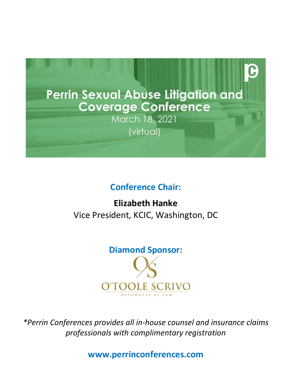

# **Conference Chair:**

## **Elizabeth Hanke** Vice President, KCIC, Washington, DC

# **Diamond Sponsor: DLE SCRIVO** ATTORNEYS AT IAM

*\*Perrin Conferences provides all in-house counsel and insurance claims professionals with complimentary registration*

**www.perrinconferences.com**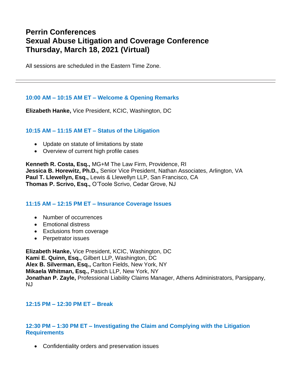### **Perrin Conferences Sexual Abuse Litigation and Coverage Conference Thursday, March 18, 2021 (Virtual)**

All sessions are scheduled in the Eastern Time Zone.

#### **10:00 AM – 10:15 AM ET – Welcome & Opening Remarks**

**Elizabeth Hanke,** Vice President, KCIC, Washington, DC

#### **10:15 AM – 11:15 AM ET – Status of the Litigation**

- Update on statute of limitations by state
- Overview of current high profile cases

**Kenneth R. Costa, Esq.,** MG+M The Law Firm, Providence, RI **Jessica B. Horewitz, Ph.D.,** Senior Vice President, Nathan Associates, Arlington, VA **Paul T. Llewellyn, Esq.,** Lewis & Llewellyn LLP, San Francisco, CA **Thomas P. Scrivo, Esq.,** O'Toole Scrivo, Cedar Grove, NJ

#### **11:15 AM – 12:15 PM ET – Insurance Coverage Issues**

- Number of occurrences
- Emotional distress
- Exclusions from coverage
- Perpetrator issues

**Elizabeth Hanke,** Vice President, KCIC, Washington, DC **Kami E. Quinn, Esq.,** Gilbert LLP, Washington, DC **Alex B. Silverman, Esq.,** Carlton Fields, New York, NY **Mikaela Whitman, Esq.,** Pasich LLP, New York, NY **Jonathan P. Zayle,** Professional Liability Claims Manager, Athens Administrators, Parsippany, NJ

#### **12:15 PM – 12:30 PM ET – Break**

#### **12:30 PM – 1:30 PM ET – Investigating the Claim and Complying with the Litigation Requirements**

• Confidentiality orders and preservation issues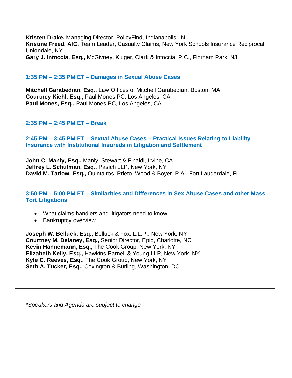**Kristen Drake,** Managing Director, PolicyFind, Indianapolis, IN **Kristine Freed, AIC,** Team Leader, Casualty Claims, New York Schools Insurance Reciprocal, Uniondale, NY **Gary J. Intoccia, Esq.,** McGivney, Kluger, Clark & Intoccia, P.C., Florham Park, NJ

#### **1:35 PM – 2:35 PM ET – Damages in Sexual Abuse Cases**

**Mitchell Garabedian, Esq.,** Law Offices of Mitchell Garabedian, Boston, MA **Courtney Kiehl, Esq.,** Paul Mones PC, Los Angeles, CA Paul Mones, Esq., Paul Mones PC, Los Angeles, CA

**2:35 PM – 2:45 PM ET – Break** 

#### **2:45 PM – 3:45 PM ET – Sexual Abuse Cases – Practical Issues Relating to Liability Insurance with Institutional Insureds in Litigation and Settlement**

**John C. Manly, Esq.,** Manly, Stewart & Finaldi, Irvine, CA **Jeffrey L. Schulman, Esq.,** Pasich LLP, New York, NY **David M. Tarlow, Esq.,** Quintairos, Prieto, Wood & Boyer, P.A., Fort Lauderdale, FL

#### **3:50 PM – 5:00 PM ET – Similarities and Differences in Sex Abuse Cases and other Mass Tort Litigations**

- What claims handlers and litigators need to know
- Bankruptcy overview

**Joseph W. Belluck, Esq.,** Belluck & Fox, L.L.P., New York, NY **Courtney M. Delaney, Esq.,** Senior Director, Epiq, Charlotte, NC **Kevin Hannemann, Esq.,** The Cook Group, New York, NY **Elizabeth Kelly, Esq.,** Hawkins Parnell & Young LLP, New York, NY **Kyle C. Reeves, Esq.,** The Cook Group, New York, NY **Seth A. Tucker, Esq.,** Covington & Burling, Washington, DC

\**Speakers and Agenda are subject to change*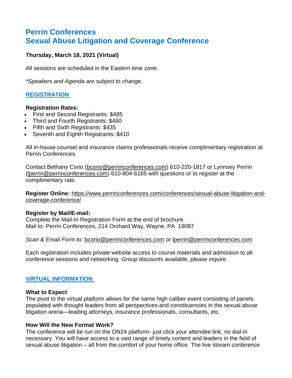### **Perrin Conferences Sexual Abuse Litigation and Coverage Conference**

#### **Thursday, March 18, 2021 (Virtual)**

All sessions are scheduled in the Eastern time zone.

*\*Speakers and Agenda are subject to change.*

#### **REGISTRATION**

#### **Registration Rates:**

- First and Second Registrants: \$485
- Third and Fourth Registrants: \$460
- Fifth and Sixth Registrants: \$435
- Seventh and Eighth Registrants: \$410

All in-house counsel and insurance claims professionals receive complimentary registration at Perrin Conferences.

Contact Bethany Corio [\(bcorio@perrinconferences.com\)](mailto:bcorio@perrinconferences.com) 610-220-1817 or Lynnsey Perrin [\(lperrin@perrinconferences.com\)](mailto:lperrin@perrinconferences.com) 610-804-6165 with questions or to register at the complimentary rate.

**Register Online:** [https://www.perrinconferences.com/conferences/sexual-abuse-litigation-and](https://www.perrinconferences.com/conferences/sexual-abuse-litigation-and-coverage-conference/)[coverage-conference/](https://www.perrinconferences.com/conferences/sexual-abuse-litigation-and-coverage-conference/)

#### **Register by Mail/E-mail:**

Complete the Mail-In Registration Form at the end of brochure. *Mail to:* Perrin Conferences, 214 Orchard Way, Wayne, PA 19087

#### *Scan & Email Form to:* [bcorio@perrinconferences.com](mailto:bcorio@perrinconferences.com) or [lperrin@perrinconferences.com](mailto:lperrin@perrinconferences.com)

Each registration includes private website access to course materials and admission to all conference sessions and networking. *Group discounts available, please inquire.*

#### **VIRTUAL INFORMATION**

#### **What to Expect**

The pivot to the virtual platform allows for the same high caliber event consisting of panels populated with thought leaders from all perspectives and constituencies in the sexual abuse litigation arena—leading attorneys, insurance professionals, consultants, etc.

#### **How Will the New Format Work?**

The conference will be run on the ON24 platform- just click your attendee link, no dial-in necessary. You will have access to a vast range of timely content and leaders in the field of sexual abuse litigation – all from the comfort of your home office. The live stream conference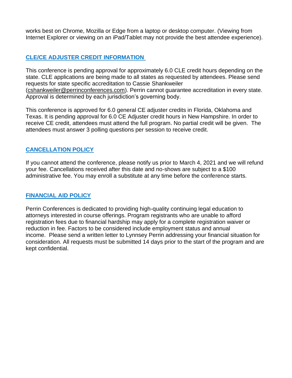works best on Chrome, Mozilla or Edge from a laptop or desktop computer. (Viewing from Internet Explorer or viewing on an iPad/Tablet may not provide the best attendee experience).

#### **CLE/CE ADJUSTER CREDIT INFORMATION**

This conference is pending approval for approximately 6.0 CLE credit hours depending on the state. CLE applications are being made to all states as requested by attendees. Please send requests for state specific accreditation to Cassie Shankweiler [\(cshankweiler@perrinconferences.com\)](mailto:cshankweiler@perrinconferences.com). Perrin cannot guarantee accreditation in every state. Approval is determined by each jurisdiction's governing body.

This conference is approved for 6.0 general CE adjuster credits in Florida, Oklahoma and Texas. It is pending approval for 6.0 CE Adjuster credit hours in New Hampshire. In order to receive CE credit, attendees must attend the full program. No partial credit will be given. The attendees must answer 3 polling questions per session to receive credit.

#### **CANCELLATION POLICY**

If you cannot attend the conference, please notify us prior to March 4, 2021 and we will refund your fee. Cancellations received after this date and no-shows are subject to a \$100 administrative fee. You may enroll a substitute at any time before the conference starts.

#### **FINANCIAL AID POLICY**

Perrin Conferences is dedicated to providing high-quality continuing legal education to attorneys interested in course offerings. Program registrants who are unable to afford registration fees due to financial hardship may apply for a complete registration waiver or reduction in fee. Factors to be considered include employment status and annual income. Please send a written letter to Lynnsey Perrin addressing your financial situation for consideration. All requests must be submitted 14 days prior to the start of the program and are kept confidential.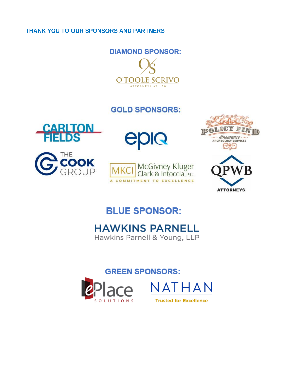THANK YOU TO OUR SPONSORS AND PARTNERS

### **DIAMOND SPONSOR:**



### **GOLD SPONSORS:**











# **BLUE SPONSOR:**

# **HAWKINS PARNELL**

Hawkins Parnell & Young, LLP

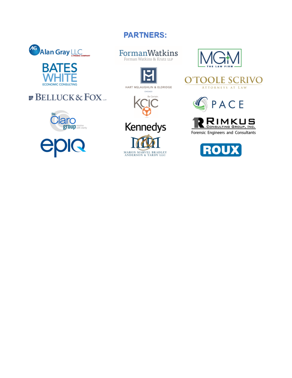



# **BELLUCK & FOX**





### **PARTNERS:**